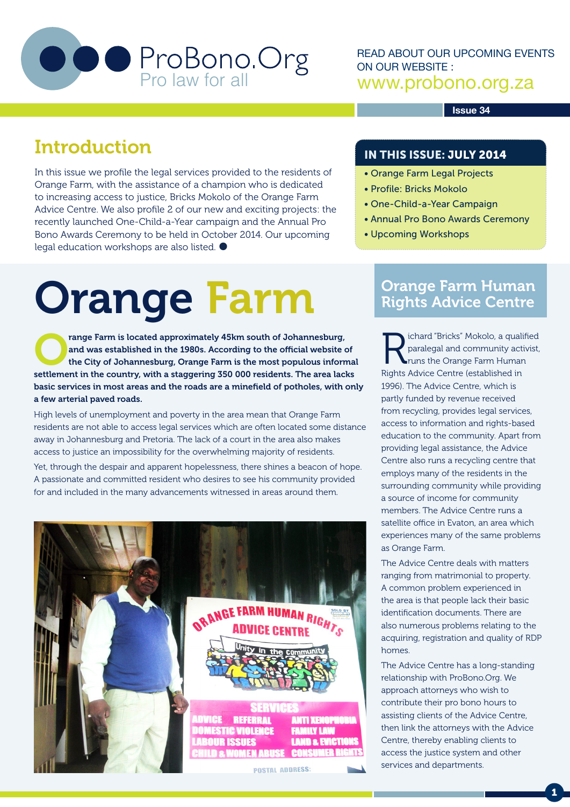

READ ABOUT OUR UPCOMING EVENTS ON OUR WEBSITE : www.probono.org.za

#### **Issue 34**

### Introduction

In this issue we profile the legal services provided to the residents of Orange Farm, with the assistance of a champion who is dedicated to increasing access to justice, Bricks Mokolo of the Orange Farm Advice Centre. We also profile 2 of our new and exciting projects: the recently launched One-Child-a-Year campaign and the Annual Pro Bono Awards Ceremony to be held in October 2014. Our upcoming legal education workshops are also listed.

# Orange Farm

range Farm is located approximately 45km south of Johannesburg,<br>
and was established in the 1980s. According to the official website of<br>
the City of Johannesburg, Orange Farm is the most populous informal<br>
astronomic in th and was established in the 1980s. According to the official website of settlement in the country, with a staggering 350 000 residents. The area lacks basic services in most areas and the roads are a minefield of potholes, with only a few arterial paved roads.

High levels of unemployment and poverty in the area mean that Orange Farm residents are not able to access legal services which are often located some distance away in Johannesburg and Pretoria. The lack of a court in the area also makes access to justice an impossibility for the overwhelming majority of residents.

Yet, through the despair and apparent hopelessness, there shines a beacon of hope. A passionate and committed resident who desires to see his community provided for and included in the many advancements witnessed in areas around them.



#### IN THIS ISSUE: JULY 2014

- Orange Farm Legal Projects
- Profile: Bricks Mokolo
- One-Child-a-Year Campaign
- Annual Pro Bono Awards Ceremony
- Upcoming Workshops

#### Orange Farm Human Rights Advice Centre

Richard "Bricks" Mokolo, a qualified<br>paralegal and community activist,<br>paralegal and community activist,<br>paralel and community activists of the Director (established in paralegal and community activist, runs the Orange Farm Human Rights Advice Centre (established in 1996). The Advice Centre, which is partly funded by revenue received from recycling, provides legal services, access to information and rights-based education to the community. Apart from providing legal assistance, the Advice Centre also runs a recycling centre that employs many of the residents in the surrounding community while providing a source of income for community members. The Advice Centre runs a satellite office in Evaton, an area which experiences many of the same problems as Orange Farm.

The Advice Centre deals with matters ranging from matrimonial to property. A common problem experienced in the area is that people lack their basic identification documents. There are also numerous problems relating to the acquiring, registration and quality of RDP homes.

The Advice Centre has a long-standing relationship with ProBono.Org. We approach attorneys who wish to contribute their pro bono hours to assisting clients of the Advice Centre, then link the attorneys with the Advice Centre, thereby enabling clients to access the justice system and other services and departments.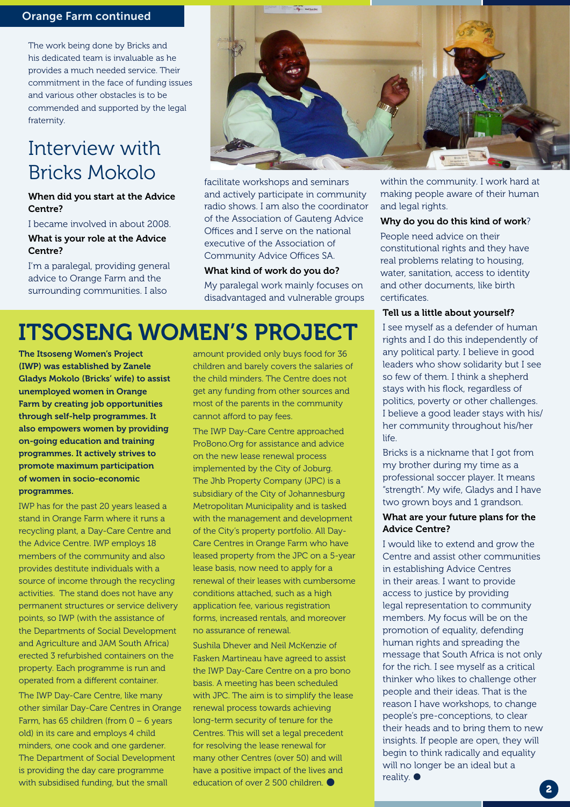#### Orange Farm continued

The work being done by Bricks and his dedicated team is invaluable as he provides a much needed service. Their commitment in the face of funding issues and various other obstacles is to be commended and supported by the legal fraternity.

### Interview with Bricks Mokolo

#### When did you start at the Advice Centre?

I became involved in about 2008.

#### What is your role at the Advice Centre?

I'm a paralegal, providing general advice to Orange Farm and the surrounding communities. I also



facilitate workshops and seminars and actively participate in community radio shows. I am also the coordinator of the Association of Gauteng Advice Offices and I serve on the national executive of the Association of Community Advice Offices SA.

#### What kind of work do you do?

My paralegal work mainly focuses on disadvantaged and vulnerable groups

## ITSOSENG WOMEN'S PROJECT

The Itsoseng Women's Project (IWP) was established by Zanele Gladys Mokolo (Bricks' wife) to assist unemployed women in Orange Farm by creating job opportunities through self-help programmes. It also empowers women by providing on-going education and training programmes. It actively strives to promote maximum participation of women in socio-economic programmes.

IWP has for the past 20 years leased a stand in Orange Farm where it runs a recycling plant, a Day-Care Centre and the Advice Centre. IWP employs 18 members of the community and also provides destitute individuals with a source of income through the recycling activities. The stand does not have any permanent structures or service delivery points, so IWP (with the assistance of the Departments of Social Development and Agriculture and JAM South Africa) erected 3 refurbished containers on the property. Each programme is run and operated from a different container.

The IWP Day-Care Centre, like many other similar Day-Care Centres in Orange Farm, has 65 children (from 0 – 6 years old) in its care and employs 4 child minders, one cook and one gardener. The Department of Social Development is providing the day care programme with subsidised funding, but the small

amount provided only buys food for 36 children and barely covers the salaries of the child minders. The Centre does not get any funding from other sources and most of the parents in the community cannot afford to pay fees.

The IWP Day-Care Centre approached ProBono.Org for assistance and advice on the new lease renewal process implemented by the City of Joburg. The Jhb Property Company (JPC) is a subsidiary of the City of Johannesburg Metropolitan Municipality and is tasked with the management and development of the City's property portfolio. All Day-Care Centres in Orange Farm who have leased property from the JPC on a 5-year lease basis, now need to apply for a renewal of their leases with cumbersome conditions attached, such as a high application fee, various registration forms, increased rentals, and moreover no assurance of renewal.

Sushila Dhever and Neil McKenzie of Fasken Martineau have agreed to assist the IWP Day-Care Centre on a pro bono basis. A meeting has been scheduled with JPC. The aim is to simplify the lease renewal process towards achieving long-term security of tenure for the Centres. This will set a legal precedent for resolving the lease renewal for many other Centres (over 50) and will have a positive impact of the lives and education of over 2 500 children.

within the community. I work hard at making people aware of their human and legal rights.

#### Why do you do this kind of work?

People need advice on their constitutional rights and they have real problems relating to housing, water, sanitation, access to identity and other documents, like birth certificates.

#### Tell us a little about yourself?

I see myself as a defender of human rights and I do this independently of any political party. I believe in good leaders who show solidarity but I see so few of them. I think a shepherd stays with his flock, regardless of politics, poverty or other challenges. I believe a good leader stays with his/ her community throughout his/her life.

Bricks is a nickname that I got from my brother during my time as a professional soccer player. It means "strength". My wife, Gladys and I have two grown boys and 1 grandson.

#### What are your future plans for the Advice Centre?

I would like to extend and grow the Centre and assist other communities in establishing Advice Centres in their areas. I want to provide access to justice by providing legal representation to community members. My focus will be on the promotion of equality, defending human rights and spreading the message that South Africa is not only for the rich. I see myself as a critical thinker who likes to challenge other people and their ideas. That is the reason I have workshops, to change people's pre-conceptions, to clear their heads and to bring them to new insights. If people are open, they will begin to think radically and equality will no longer be an ideal but a reality.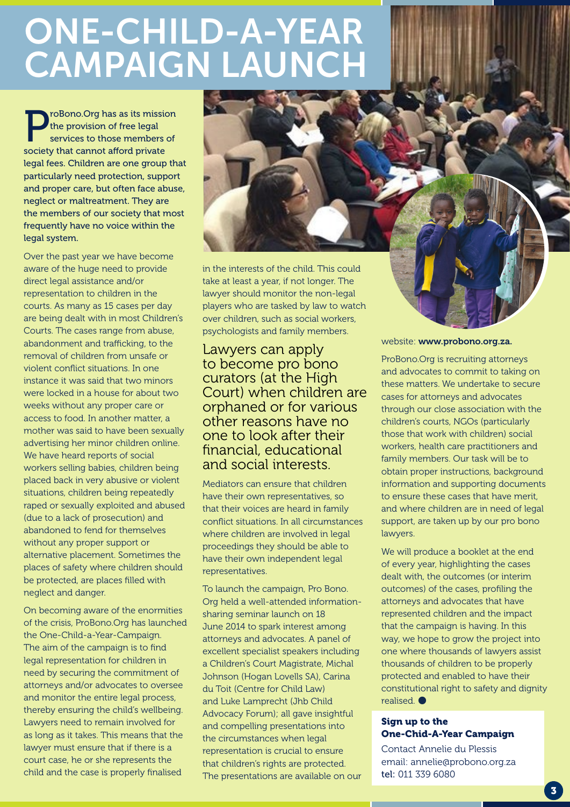## ONE-CHILD-A-YEAR CAMPAIGN LAUNCH

roBono. Org has as its mission the provision of free legal services to those members of society that cannot afford private legal fees. Children are one group that particularly need protection, support and proper care, but often face abuse, neglect or maltreatment. They are the members of our society that most frequently have no voice within the legal system.

Over the past year we have become aware of the huge need to provide direct legal assistance and/or representation to children in the courts. As many as 15 cases per day are being dealt with in most Children's Courts. The cases range from abuse, abandonment and trafficking, to the removal of children from unsafe or violent conflict situations. In one instance it was said that two minors were locked in a house for about two weeks without any proper care or access to food. In another matter, a mother was said to have been sexually advertising her minor children online. We have heard reports of social workers selling babies, children being placed back in very abusive or violent situations, children being repeatedly raped or sexually exploited and abused (due to a lack of prosecution) and abandoned to fend for themselves without any proper support or alternative placement. Sometimes the places of safety where children should be protected, are places filled with neglect and danger.

On becoming aware of the enormities of the crisis, ProBono.Org has launched the One-Child-a-Year-Campaign. The aim of the campaign is to find legal representation for children in need by securing the commitment of attorneys and/or advocates to oversee and monitor the entire legal process, thereby ensuring the child's wellbeing. Lawyers need to remain involved for as long as it takes. This means that the lawyer must ensure that if there is a court case, he or she represents the child and the case is properly finalised



Lawyers can apply to become pro bono curators (at the High Court) when children are orphaned or for various other reasons have no one to look after their financial, educational and social interests.

Mediators can ensure that children have their own representatives, so that their voices are heard in family conflict situations. In all circumstances where children are involved in legal proceedings they should be able to have their own independent legal representatives.

To launch the campaign, Pro Bono. Org held a well-attended informationsharing seminar launch on 18 June 2014 to spark interest among attorneys and advocates. A panel of excellent specialist speakers including a Children's Court Magistrate, Michal Johnson (Hogan Lovells SA), Carina du Toit (Centre for Child Law) and Luke Lamprecht (Jhb Child Advocacy Forum); all gave insightful and compelling presentations into the circumstances when legal representation is crucial to ensure that children's rights are protected. The presentations are available on our website: www.probono.org.za.

ProBono.Org is recruiting attorneys and advocates to commit to taking on these matters. We undertake to secure cases for attorneys and advocates through our close association with the children's courts, NGOs (particularly those that work with children) social workers, health care practitioners and family members. Our task will be to obtain proper instructions, background information and supporting documents to ensure these cases that have merit, and where children are in need of legal support, are taken up by our pro bono lawyers.

We will produce a booklet at the end of every year, highlighting the cases dealt with, the outcomes (or interim outcomes) of the cases, profiling the attorneys and advocates that have represented children and the impact that the campaign is having. In this way, we hope to grow the project into one where thousands of lawyers assist thousands of children to be properly protected and enabled to have their constitutional right to safety and dignity realised.

#### Sign up to the One-Chid-A-Year Campaign

Contact Annelie du Plessis email: annelie@probono.org.za tel: 011 339 6080